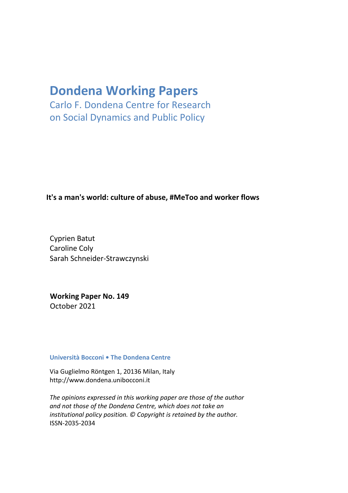# **Dondena Working Papers**

Carlo F. Dondena Centre for Research on Social Dynamics and Public Policy

### **It's a man's world: culture of abuse, #MeToo and worker flows**

Cyprien Batut Caroline Coly Sarah Schneider-Strawczynski

**Working Paper No. 149** October 2021

#### **Università Bocconi • The Dondena Centre**

Via Guglielmo Röntgen 1, 20136 Milan, Ital[y](http://www.dondena.unibocconi.it/) [http://www.dondena.unibocconi.it](http://www.dondena.unibocconi.it/)

*The opinions expressed in this working paper are those of the author and not those of the Dondena Centre, which does not take an institutional policy position. © Copyright is retained by the author.* ISSN-2035-2034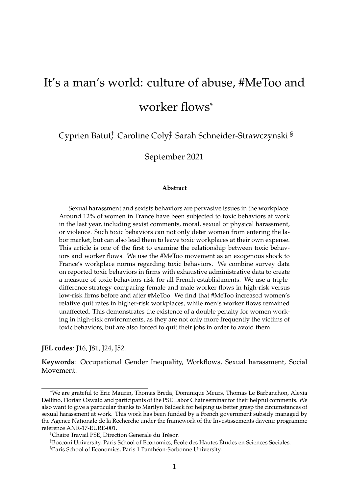# It's a man's world: culture of abuse, #MeToo and worker flows\*

Cyprien Batut; Caroline Coly; Sarah Schneider-Strawczynski  $^{\mathrm{S}}$ 

September 2021

#### **Abstract**

Sexual harassment and sexists behaviors are pervasive issues in the workplace. Around 12% of women in France have been subjected to toxic behaviors at work in the last year, including sexist comments, moral, sexual or physical harassment, or violence. Such toxic behaviors can not only deter women from entering the labor market, but can also lead them to leave toxic workplaces at their own expense. This article is one of the first to examine the relationship between toxic behaviors and worker flows. We use the #MeToo movement as an exogenous shock to France's workplace norms regarding toxic behaviors. We combine survey data on reported toxic behaviors in firms with exhaustive administrative data to create a measure of toxic behaviors risk for all French establishments. We use a tripledifference strategy comparing female and male worker flows in high-risk versus low-risk firms before and after #MeToo. We find that #MeToo increased women's relative quit rates in higher-risk workplaces, while men's worker flows remained unaffected. This demonstrates the existence of a double penalty for women working in high-risk environments, as they are not only more frequently the victims of toxic behaviors, but are also forced to quit their jobs in order to avoid them.

**JEL codes**: J16, J81, J24, J52.

**Keywords**: Occupational Gender Inequality, Workflows, Sexual harassment, Social Movement.

<sup>\*</sup>We are grateful to Eric Maurin, Thomas Breda, Dominique Meurs, Thomas Le Barbanchon, Alexia Delfino, Florian Oswald and participants of the PSE Labor Chair seminar for their helpful comments. We also want to give a particular thanks to Marilyn Baldeck for helping us better grasp the circumstances of sexual harassment at work. This work has been funded by a French government subsidy managed by the Agence Nationale de la Recherche under the framework of the Investissements davenir programme reference ANR-17-EURE-001.

<sup>†</sup>Chaire Travail PSE, Direction Generale du Trésor.

<sup>‡</sup>Bocconi University, Paris School of Economics, École des Hautes Études en Sciences Sociales.

<sup>§</sup>Paris School of Economics, Paris 1 Panthéon-Sorbonne University.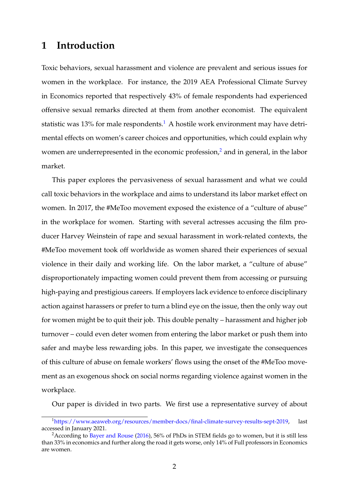## **1 Introduction**

Toxic behaviors, sexual harassment and violence are prevalent and serious issues for women in the workplace. For instance, the 2019 AEA Professional Climate Survey in Economics reported that respectively 43% of female respondents had experienced offensive sexual remarks directed at them from another economist. The equivalent statistic was [1](#page-2-0)3% for male respondents.<sup>1</sup> A hostile work environment may have detrimental effects on women's career choices and opportunities, which could explain why women are underrepresented in the economic profession, $\lambda$  and in general, in the labor market.

This paper explores the pervasiveness of sexual harassment and what we could call toxic behaviors in the workplace and aims to understand its labor market effect on women. In 2017, the #MeToo movement exposed the existence of a "culture of abuse" in the workplace for women. Starting with several actresses accusing the film producer Harvey Weinstein of rape and sexual harassment in work-related contexts, the #MeToo movement took off worldwide as women shared their experiences of sexual violence in their daily and working life. On the labor market, a "culture of abuse" disproportionately impacting women could prevent them from accessing or pursuing high-paying and prestigious careers. If employers lack evidence to enforce disciplinary action against harassers or prefer to turn a blind eye on the issue, then the only way out for women might be to quit their job. This double penalty – harassment and higher job turnover – could even deter women from entering the labor market or push them into safer and maybe less rewarding jobs. In this paper, we investigate the consequences of this culture of abuse on female workers' flows using the onset of the #MeToo movement as an exogenous shock on social norms regarding violence against women in the workplace.

Our paper is divided in two parts. We first use a representative survey of about

<span id="page-2-0"></span><sup>1</sup>[https://www.aeaweb.org/resources/member-docs/final-climate-survey-results-sept-2019,](https://www.aeaweb.org/resources/member-docs/final-climate-survey-results-sept-2019) last accessed in January 2021.

<span id="page-2-1"></span><sup>&</sup>lt;sup>2</sup> According to [Bayer and Rouse](#page-28-0) [\(2016\)](#page-28-0), 56% of PhDs in STEM fields go to women, but it is still less than 33% in economics and further along the road it gets worse, only 14% of Full professors in Economics are women.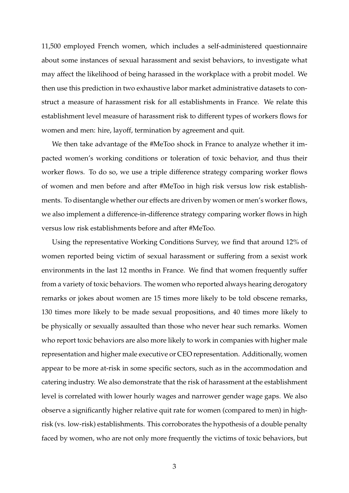11,500 employed French women, which includes a self-administered questionnaire about some instances of sexual harassment and sexist behaviors, to investigate what may affect the likelihood of being harassed in the workplace with a probit model. We then use this prediction in two exhaustive labor market administrative datasets to construct a measure of harassment risk for all establishments in France. We relate this establishment level measure of harassment risk to different types of workers flows for women and men: hire, layoff, termination by agreement and quit.

We then take advantage of the #MeToo shock in France to analyze whether it impacted women's working conditions or toleration of toxic behavior, and thus their worker flows. To do so, we use a triple difference strategy comparing worker flows of women and men before and after #MeToo in high risk versus low risk establishments. To disentangle whether our effects are driven by women or men's worker flows, we also implement a difference-in-difference strategy comparing worker flows in high versus low risk establishments before and after #MeToo.

Using the representative Working Conditions Survey, we find that around 12% of women reported being victim of sexual harassment or suffering from a sexist work environments in the last 12 months in France. We find that women frequently suffer from a variety of toxic behaviors. The women who reported always hearing derogatory remarks or jokes about women are 15 times more likely to be told obscene remarks, 130 times more likely to be made sexual propositions, and 40 times more likely to be physically or sexually assaulted than those who never hear such remarks. Women who report toxic behaviors are also more likely to work in companies with higher male representation and higher male executive or CEO representation. Additionally, women appear to be more at-risk in some specific sectors, such as in the accommodation and catering industry. We also demonstrate that the risk of harassment at the establishment level is correlated with lower hourly wages and narrower gender wage gaps. We also observe a significantly higher relative quit rate for women (compared to men) in highrisk (vs. low-risk) establishments. This corroborates the hypothesis of a double penalty faced by women, who are not only more frequently the victims of toxic behaviors, but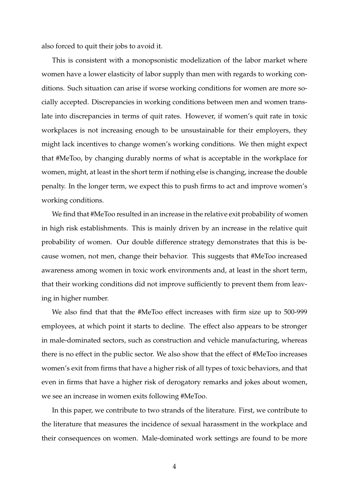also forced to quit their jobs to avoid it.

This is consistent with a monopsonistic modelization of the labor market where women have a lower elasticity of labor supply than men with regards to working conditions. Such situation can arise if worse working conditions for women are more socially accepted. Discrepancies in working conditions between men and women translate into discrepancies in terms of quit rates. However, if women's quit rate in toxic workplaces is not increasing enough to be unsustainable for their employers, they might lack incentives to change women's working conditions. We then might expect that #MeToo, by changing durably norms of what is acceptable in the workplace for women, might, at least in the short term if nothing else is changing, increase the double penalty. In the longer term, we expect this to push firms to act and improve women's working conditions.

We find that #MeToo resulted in an increase in the relative exit probability of women in high risk establishments. This is mainly driven by an increase in the relative quit probability of women. Our double difference strategy demonstrates that this is because women, not men, change their behavior. This suggests that #MeToo increased awareness among women in toxic work environments and, at least in the short term, that their working conditions did not improve sufficiently to prevent them from leaving in higher number.

We also find that that the #MeToo effect increases with firm size up to 500-999 employees, at which point it starts to decline. The effect also appears to be stronger in male-dominated sectors, such as construction and vehicle manufacturing, whereas there is no effect in the public sector. We also show that the effect of #MeToo increases women's exit from firms that have a higher risk of all types of toxic behaviors, and that even in firms that have a higher risk of derogatory remarks and jokes about women, we see an increase in women exits following #MeToo.

In this paper, we contribute to two strands of the literature. First, we contribute to the literature that measures the incidence of sexual harassment in the workplace and their consequences on women. Male-dominated work settings are found to be more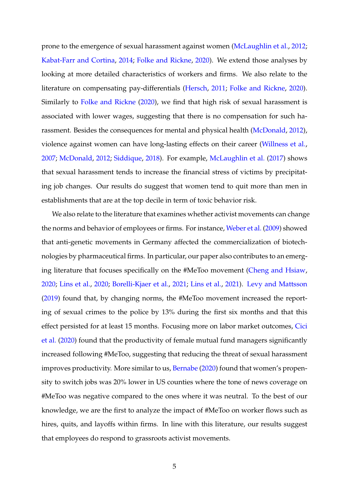prone to the emergence of sexual harassment against women [\(McLaughlin et al.,](#page-29-0) [2012;](#page-29-0) [Kabat-Farr and Cortina,](#page-29-1) [2014;](#page-29-1) [Folke and Rickne,](#page-28-1) [2020\)](#page-28-1). We extend those analyses by looking at more detailed characteristics of workers and firms. We also relate to the literature on compensating pay-differentials [\(Hersch,](#page-29-2) [2011;](#page-29-2) [Folke and Rickne,](#page-28-1) [2020\)](#page-28-1). Similarly to [Folke and Rickne](#page-28-1) [\(2020\)](#page-28-1), we find that high risk of sexual harassment is associated with lower wages, suggesting that there is no compensation for such harassment. Besides the consequences for mental and physical health [\(McDonald,](#page-29-3) [2012\)](#page-29-3), violence against women can have long-lasting effects on their career [\(Willness et al.,](#page-30-0) [2007;](#page-30-0) [McDonald,](#page-29-3) [2012;](#page-29-3) [Siddique,](#page-30-1) [2018\)](#page-30-1). For example, [McLaughlin et al.](#page-29-4) [\(2017\)](#page-29-4) shows that sexual harassment tends to increase the financial stress of victims by precipitating job changes. Our results do suggest that women tend to quit more than men in establishments that are at the top decile in term of toxic behavior risk.

We also relate to the literature that examines whether activist movements can change the norms and behavior of employees or firms. For instance, [Weber et al.](#page-30-2) [\(2009\)](#page-30-2) showed that anti-genetic movements in Germany affected the commercialization of biotechnologies by pharmaceutical firms. In particular, our paper also contributes to an emerging literature that focuses specifically on the #MeToo movement [\(Cheng and Hsiaw,](#page-28-2) [2020;](#page-28-2) [Lins et al.,](#page-29-5) [2020;](#page-29-5) [Borelli-Kjaer et al.,](#page-28-3) [2021;](#page-28-3) [Lins et al.,](#page-29-6) [2021\)](#page-29-6). [Levy and Mattsson](#page-29-7) [\(2019\)](#page-29-7) found that, by changing norms, the #MeToo movement increased the reporting of sexual crimes to the police by 13% during the first six months and that this effect persisted for at least 15 months. Focusing more on labor market outcomes, [Cici](#page-28-4) [et al.](#page-28-4) [\(2020\)](#page-28-4) found that the productivity of female mutual fund managers significantly increased following #MeToo, suggesting that reducing the threat of sexual harassment improves productivity. More similar to us, [Bernabe](#page-28-5) [\(2020\)](#page-28-5) found that women's propensity to switch jobs was 20% lower in US counties where the tone of news coverage on #MeToo was negative compared to the ones where it was neutral. To the best of our knowledge, we are the first to analyze the impact of #MeToo on worker flows such as hires, quits, and layoffs within firms. In line with this literature, our results suggest that employees do respond to grassroots activist movements.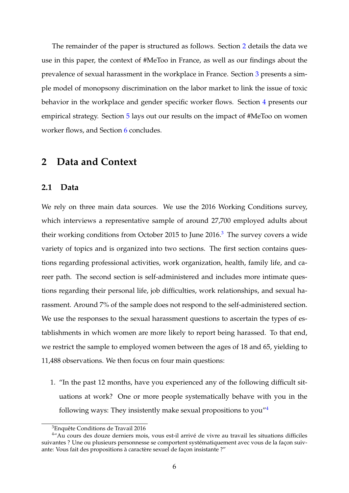The remainder of the paper is structured as follows. Section [2](#page-6-0) details the data we use in this paper, the context of #MeToo in France, as well as our findings about the prevalence of sexual harassment in the workplace in France. Section [3](#page-15-0) presents a simple model of monopsony discrimination on the labor market to link the issue of toxic behavior in the workplace and gender specific worker flows. Section [4](#page-18-0) presents our empirical strategy. Section [5](#page-19-0) lays out our results on the impact of #MeToo on women worker flows, and Section [6](#page-26-0) concludes.

#### <span id="page-6-0"></span>**2 Data and Context**

#### <span id="page-6-3"></span>**2.1 Data**

We rely on three main data sources. We use the 2016 Working Conditions survey, which interviews a representative sample of around 27,700 employed adults about their working conditions from October 2015 to June  $2016<sup>3</sup>$  $2016<sup>3</sup>$  $2016<sup>3</sup>$ . The survey covers a wide variety of topics and is organized into two sections. The first section contains questions regarding professional activities, work organization, health, family life, and career path. The second section is self-administered and includes more intimate questions regarding their personal life, job difficulties, work relationships, and sexual harassment. Around 7% of the sample does not respond to the self-administered section. We use the responses to the sexual harassment questions to ascertain the types of establishments in which women are more likely to report being harassed. To that end, we restrict the sample to employed women between the ages of 18 and 65, yielding to 11,488 observations. We then focus on four main questions:

1. "In the past 12 months, have you experienced any of the following difficult situations at work? One or more people systematically behave with you in the following ways: They insistently make sexual propositions to you" $4$ 

<span id="page-6-2"></span><span id="page-6-1"></span><sup>3</sup>Enquête Conditions de Travail 2016

<sup>4</sup>"Au cours des douze derniers mois, vous est-il arrivé de vivre au travail les situations difficiles suivantes ? Une ou plusieurs personnesse se comportent systématiquement avec vous de la façon suivante: Vous fait des propositions à caractère sexuel de façon insistante ?"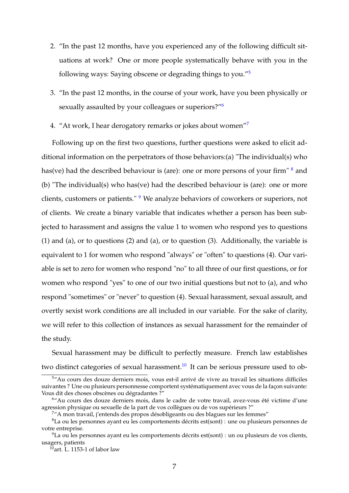- 2. "In the past 12 months, have you experienced any of the following difficult situations at work? One or more people systematically behave with you in the following ways: Saying obscene or degrading things to you."[5](#page-7-0)
- 3. "In the past 12 months, in the course of your work, have you been physically or sexually assaulted by your colleagues or superiors?"<sup>[6](#page-7-1)</sup>
- 4. "At work, I hear derogatory remarks or jokes about women"

Following up on the first two questions, further questions were asked to elicit additional information on the perpetrators of those behaviors:(a) "The individual(s) who has(ve) had the described behaviour is (are): one or more persons of your firm"  $\frac{8}{3}$  $\frac{8}{3}$  $\frac{8}{3}$  and (b) "The individual(s) who has(ve) had the described behaviour is (are): one or more clients, customers or patients." <sup>[9](#page-7-4)</sup> We analyze behaviors of coworkers or superiors, not of clients. We create a binary variable that indicates whether a person has been subjected to harassment and assigns the value 1 to women who respond yes to questions (1) and (a), or to questions (2) and (a), or to question (3). Additionally, the variable is equivalent to 1 for women who respond "always" or "often" to questions (4). Our variable is set to zero for women who respond "no" to all three of our first questions, or for women who respond "yes" to one of our two initial questions but not to (a), and who respond "sometimes" or "never" to question (4). Sexual harassment, sexual assault, and overtly sexist work conditions are all included in our variable. For the sake of clarity, we will refer to this collection of instances as sexual harassment for the remainder of the study.

Sexual harassment may be difficult to perfectly measure. French law establishes two distinct categories of sexual harassment.<sup>[10](#page-7-5)</sup> It can be serious pressure used to ob-

<span id="page-7-0"></span><sup>5</sup>"Au cours des douze derniers mois, vous est-il arrivé de vivre au travail les situations difficiles suivantes ? Une ou plusieurs personnesse comportent systématiquement avec vous de la façon suivante: Vous dit des choses obscènes ou dégradantes ?"

<span id="page-7-1"></span><sup>&</sup>lt;sup>6"</sup>Au cours des douze derniers mois, dans le cadre de votre travail, avez-vous été victime d'une agression physique ou sexuelle de la part de vos collègues ou de vos supérieurs ?"

<span id="page-7-3"></span><span id="page-7-2"></span><sup>7</sup>"A mon travail, j'entends des propos désobligeants ou des blagues sur les femmes"

<sup>8</sup>La ou les personnes ayant eu les comportements décrits est(sont) : une ou plusieurs personnes de votre entreprise.

<span id="page-7-4"></span><sup>9</sup>La ou les personnes ayant eu les comportements décrits est(sont) : un ou plusieurs de vos clients, usagers, patients

<span id="page-7-5"></span> $^{10}$ art. L. 1153-1 of labor law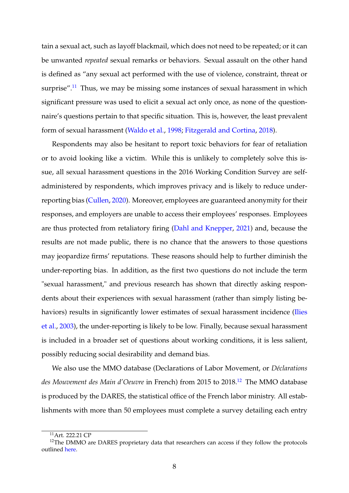tain a sexual act, such as layoff blackmail, which does not need to be repeated; or it can be unwanted *repeated* sexual remarks or behaviors. Sexual assault on the other hand is defined as "any sexual act performed with the use of violence, constraint, threat or surprise".<sup>[11](#page-8-0)</sup> Thus, we may be missing some instances of sexual harassment in which significant pressure was used to elicit a sexual act only once, as none of the questionnaire's questions pertain to that specific situation. This is, however, the least prevalent form of sexual harassment [\(Waldo et al.,](#page-30-3) [1998;](#page-30-3) [Fitzgerald and Cortina,](#page-28-6) [2018\)](#page-28-6).

Respondents may also be hesitant to report toxic behaviors for fear of retaliation or to avoid looking like a victim. While this is unlikely to completely solve this issue, all sexual harassment questions in the 2016 Working Condition Survey are selfadministered by respondents, which improves privacy and is likely to reduce underreporting bias [\(Cullen,](#page-28-7) [2020\)](#page-28-7). Moreover, employees are guaranteed anonymity for their responses, and employers are unable to access their employees' responses. Employees are thus protected from retaliatory firing [\(Dahl and Knepper,](#page-28-8) [2021\)](#page-28-8) and, because the results are not made public, there is no chance that the answers to those questions may jeopardize firms' reputations. These reasons should help to further diminish the under-reporting bias. In addition, as the first two questions do not include the term "sexual harassment," and previous research has shown that directly asking respondents about their experiences with sexual harassment (rather than simply listing be-haviors) results in significantly lower estimates of sexual harassment incidence [\(Ilies](#page-29-8) [et al.,](#page-29-8) [2003\)](#page-29-8), the under-reporting is likely to be low. Finally, because sexual harassment is included in a broader set of questions about working conditions, it is less salient, possibly reducing social desirability and demand bias.

We also use the MMO database (Declarations of Labor Movement, or *Déclarations* des Mouvement des Main d'Oeuvre in French) from 2015 to 2018.<sup>[12](#page-8-1)</sup> The MMO database is produced by the DARES, the statistical office of the French labor ministry. All establishments with more than 50 employees must complete a survey detailing each entry

<span id="page-8-1"></span><span id="page-8-0"></span> $11$ Art. 222.21 CP

<sup>&</sup>lt;sup>12</sup>The DMMO are DARES proprietary data that researchers can access if they follow the protocols outlined [here.](https://www.casd.eu/en/your-project/procedures-dhabilitation/)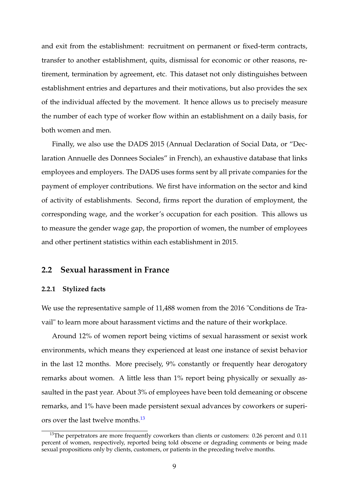and exit from the establishment: recruitment on permanent or fixed-term contracts, transfer to another establishment, quits, dismissal for economic or other reasons, retirement, termination by agreement, etc. This dataset not only distinguishes between establishment entries and departures and their motivations, but also provides the sex of the individual affected by the movement. It hence allows us to precisely measure the number of each type of worker flow within an establishment on a daily basis, for both women and men.

Finally, we also use the DADS 2015 (Annual Declaration of Social Data, or "Declaration Annuelle des Donnees Sociales" in French), an exhaustive database that links employees and employers. The DADS uses forms sent by all private companies for the payment of employer contributions. We first have information on the sector and kind of activity of establishments. Second, firms report the duration of employment, the corresponding wage, and the worker's occupation for each position. This allows us to measure the gender wage gap, the proportion of women, the number of employees and other pertinent statistics within each establishment in 2015.

#### **2.2 Sexual harassment in France**

#### **2.2.1 Stylized facts**

We use the representative sample of 11,488 women from the 2016 "Conditions de Travail" to learn more about harassment victims and the nature of their workplace.

Around 12% of women report being victims of sexual harassment or sexist work environments, which means they experienced at least one instance of sexist behavior in the last 12 months. More precisely, 9% constantly or frequently hear derogatory remarks about women. A little less than 1% report being physically or sexually assaulted in the past year. About 3% of employees have been told demeaning or obscene remarks, and 1% have been made persistent sexual advances by coworkers or superi-ors over the last twelve months.<sup>[13](#page-9-0)</sup>

<span id="page-9-0"></span> $13$ The perpetrators are more frequently coworkers than clients or customers: 0.26 percent and 0.11 percent of women, respectively, reported being told obscene or degrading comments or being made sexual propositions only by clients, customers, or patients in the preceding twelve months.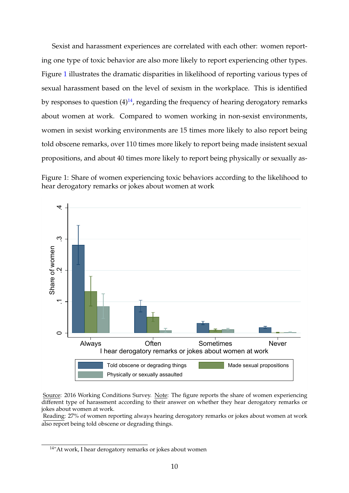Sexist and harassment experiences are correlated with each other: women reporting one type of toxic behavior are also more likely to report experiencing other types. Figure [1](#page-10-0) illustrates the dramatic disparities in likelihood of reporting various types of sexual harassment based on the level of sexism in the workplace. This is identified by responses to question  $(4)^{14}$  $(4)^{14}$  $(4)^{14}$ , regarding the frequency of hearing derogatory remarks about women at work. Compared to women working in non-sexist environments, women in sexist working environments are 15 times more likely to also report being told obscene remarks, over 110 times more likely to report being made insistent sexual propositions, and about 40 times more likely to report being physically or sexually as-

<span id="page-10-0"></span>



Source: 2016 Working Conditions Survey. Note: The figure reports the share of women experiencing different type of harassment according to their answer on whether they hear derogatory remarks or jokes about women at work.

Reading: 27% of women reporting always hearing derogatory remarks or jokes about women at work also report being told obscene or degrading things.

<span id="page-10-1"></span><sup>&</sup>lt;sup>14</sup>"At work, I hear derogatory remarks or jokes about women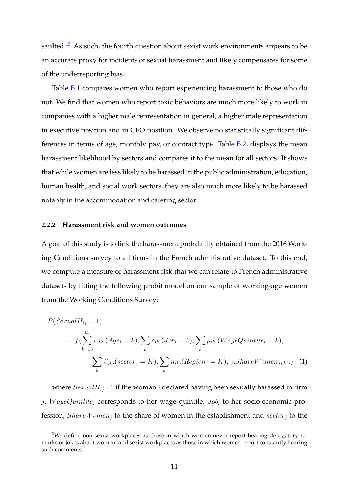saulted.<sup>[15](#page-11-0)</sup> As such, the fourth question about sexist work environments appears to be an accurate proxy for incidents of sexual harassment and likely compensates for some of the underreporting bias.

Table [B.1](#page-33-0) compares women who report experiencing harassment to those who do not. We find that women who report toxic behaviors are much more likely to work in companies with a higher male representation in general, a higher male representation in executive position and in CEO position. We observe no statistically significant differences in terms of age, monthly pay, or contract type. Table [B.2,](#page-34-0) displays the mean harassment likelihood by sectors and compares it to the mean for all sectors. It shows that while women are less likely to be harassed in the public administration, education, human health, and social work sectors, they are also much more likely to be harassed notably in the accommodation and catering sector.

#### **2.2.2 Harassment risk and women outcomes**

A goal of this study is to link the harassment probability obtained from the 2016 Working Conditions survey to all firms in the French administrative dataset. To this end, we compute a measure of harassment risk that we can relate to French administrative datasets by fitting the following probit model on our sample of working-age women from the Working Conditions Survey:

<span id="page-11-1"></span>
$$
P(SexualH_{ij} = 1)
$$
  
=  $f(\sum_{k=18}^{65} \alpha_{ik} \cdot (Age_i = k), \sum_k \delta_{ik} \cdot (Job_i = k), \sum_k \mu_{ik} \cdot (WageQuintile_i = k),$   

$$
\sum_k \beta_{jk} \cdot (sector_j = K), \sum_k \eta_{jk} \cdot (Region_j = K), \gamma \cdot Share Women_j, \epsilon_{ij})
$$
 (1)

where  $SexualH_{ij} = 1$  if the woman *i* declared having been sexually harassed in firm j, WageQuintile<sub>i</sub> corresponds to her wage quintile,  $Job_i$  to her socio-economic profession,  $ShareWomen_i$  to the share of women in the establishment and  $sector_i$  to the

<span id="page-11-0"></span><sup>&</sup>lt;sup>15</sup>We define non-sexist workplaces as those in which women never report hearing derogatory remarks or jokes about women, and sexist workplaces as those in which women report constantly hearing such comments.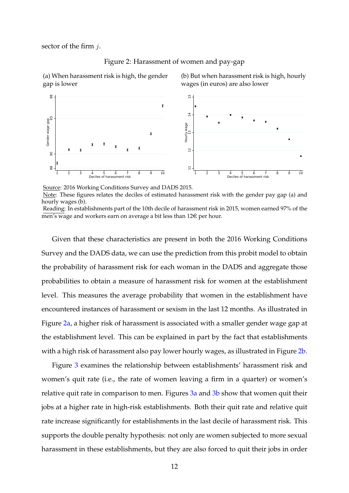<span id="page-12-0"></span>sector of the firm  $i$ .

![](_page_12_Figure_1.jpeg)

(a) When harassment risk is high, the gender gap is lower

(b) But when harassment risk is high, hourly wages (in euros) are also lower

![](_page_12_Figure_4.jpeg)

Source: 2016 Working Conditions Survey and DADS 2015. Note: These figures relates the deciles of estimated harassment risk with the gender pay gap (a) and hourly wages (b).

Reading: In establishments part of the 10th decile of harassment risk in 2015, women earned 97% of the men's wage and workers earn on average a bit less than  $12 \in \text{per hour}$ .

Given that these characteristics are present in both the 2016 Working Conditions Survey and the DADS data, we can use the prediction from this probit model to obtain the probability of harassment risk for each woman in the DADS and aggregate those probabilities to obtain a measure of harassment risk for women at the establishment level. This measures the average probability that women in the establishment have encountered instances of harassment or sexism in the last 12 months. As illustrated in Figure [2a,](#page-12-0) a higher risk of harassment is associated with a smaller gender wage gap at the establishment level. This can be explained in part by the fact that establishments with a high risk of harassment also pay lower hourly wages, as illustrated in Figure [2b.](#page-12-0)

Figure [3](#page-13-0) examines the relationship between establishments' harassment risk and women's quit rate (i.e., the rate of women leaving a firm in a quarter) or women's relative quit rate in comparison to men. Figures [3a](#page-13-0) and [3b](#page-13-0) show that women quit their jobs at a higher rate in high-risk establishments. Both their quit rate and relative quit rate increase significantly for establishments in the last decile of harassment risk. This supports the double penalty hypothesis: not only are women subjected to more sexual harassment in these establishments, but they are also forced to quit their jobs in order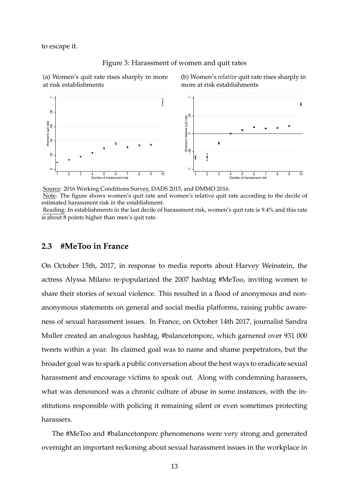<span id="page-13-0"></span>to escape it.

![](_page_13_Figure_1.jpeg)

(a) Women's quit rate rises sharply in more at risk establishments

(b) Women's *relative* quit rate rises sharply in more at risk establishments

![](_page_13_Figure_4.jpeg)

Source: 2016 Working Conditions Survey, DADS 2015, and DMMO 2016. Note: The figure shows women's quit rate and women's relative quit rate according to the decile of estimated harassment risk in the establishment.

Reading: In establishments in the last decile of harassment risk, women's quit rate is 9.4% and this rate is about 8 points higher than men's quit rate.

#### <span id="page-13-1"></span>**2.3 #MeToo in France**

On October 15th, 2017, in response to media reports about Harvey Weinstein, the actress Alyssa Milano re-popularized the 2007 hashtag #MeToo, inviting women to share their stories of sexual violence. This resulted in a flood of anonymous and nonanonymous statements on general and social media platforms, raising public awareness of sexual harassment issues. In France, on October 14th 2017, journalist Sandra Muller created an analogous hashtag, #balancetonporc, which garnered over 931 000 tweets within a year. Its claimed goal was to name and shame perpetrators, but the broader goal was to spark a public conversation about the best ways to eradicate sexual harassment and encourage victims to speak out. Along with condemning harassers, what was denounced was a chronic culture of abuse in some instances, with the institutions responsible with policing it remaining silent or even sometimes protecting harassers.

The #MeToo and #balancetonporc phenomenons were very strong and generated overnight an important reckoning about sexual harassment issues in the workplace in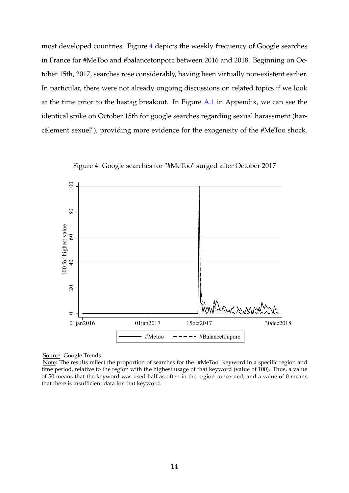most developed countries. Figure [4](#page-14-0) depicts the weekly frequency of Google searches in France for #MeToo and #balancetonporc between 2016 and 2018. Beginning on October 15th, 2017, searches rose considerably, having been virtually non-existent earlier. In particular, there were not already ongoing discussions on related topics if we look at the time prior to the hastag breakout. In Figure [A.1](#page-31-0) in Appendix, we can see the identical spike on October 15th for google searches regarding sexual harassment (harcèlement sexuel"), providing more evidence for the exogeneity of the #MeToo shock.

<span id="page-14-0"></span>![](_page_14_Figure_1.jpeg)

Figure 4: Google searches for "#MeToo" surged after October 2017

Source: Google Trends.

Note: The results reflect the proportion of searches for the "#MeToo" keyword in a specific region and time period, relative to the region with the highest usage of that keyword (value of 100). Thus, a value of 50 means that the keyword was used half as often in the region concerned, and a value of 0 means that there is insufficient data for that keyword.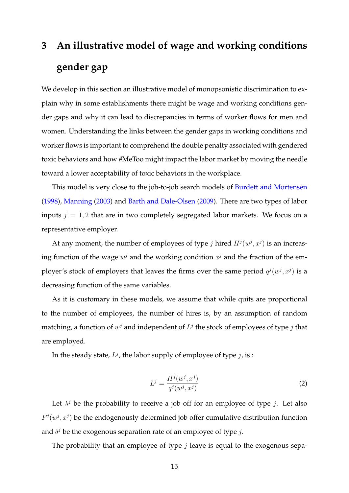# <span id="page-15-0"></span>**3 An illustrative model of wage and working conditions gender gap**

We develop in this section an illustrative model of monopsonistic discrimination to explain why in some establishments there might be wage and working conditions gender gaps and why it can lead to discrepancies in terms of worker flows for men and women. Understanding the links between the gender gaps in working conditions and worker flows is important to comprehend the double penalty associated with gendered toxic behaviors and how #MeToo might impact the labor market by moving the needle toward a lower acceptability of toxic behaviors in the workplace.

This model is very close to the job-to-job search models of [Burdett and Mortensen](#page-28-9) [\(1998\)](#page-28-9), [Manning](#page-29-9) [\(2003\)](#page-29-9) and [Barth and Dale-Olsen](#page-28-10) [\(2009\)](#page-28-10). There are two types of labor inputs  $j = 1, 2$  that are in two completely segregated labor markets. We focus on a representative employer.

At any moment, the number of employees of type j hired  $H^j(w^j, x^j)$  is an increasing function of the wage  $w^j$  and the working condition  $x^j$  and the fraction of the employer's stock of employers that leaves the firms over the same period  $q^{j}(w^{j}, x^{j})$  is a decreasing function of the same variables.

As it is customary in these models, we assume that while quits are proportional to the number of employees, the number of hires is, by an assumption of random matching, a function of  $w^j$  and independent of  $L^j$  the stock of employees of type  $j$  that are employed.

In the steady state,  $L^j$ , the labor supply of employee of type  $j$ , is :

$$
L^{j} = \frac{H^{j}(w^{j}, x^{j})}{q^{j}(w^{j}, x^{j})}
$$
 (2)

Let  $\lambda^j$  be the probability to receive a job off for an employee of type j. Let also  $F^{j}(w^{j}, x^{j})$  be the endogenously determined job offer cumulative distribution function and  $\delta^j$  be the exogenous separation rate of an employee of type j.

The probability that an employee of type  $j$  leave is equal to the exogenous sepa-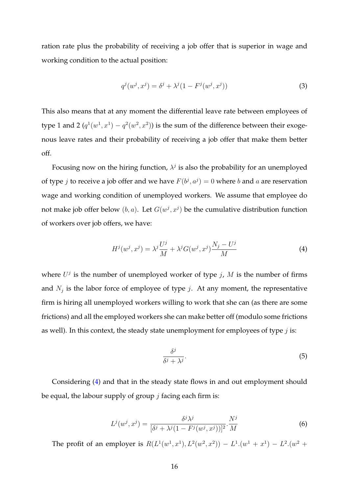ration rate plus the probability of receiving a job offer that is superior in wage and working condition to the actual position:

$$
q^{j}(w^{j}, x^{j}) = \delta^{j} + \lambda^{j}(1 - F^{j}(w^{j}, x^{j}))
$$
\n(3)

This also means that at any moment the differential leave rate between employees of type 1 and 2  $(q^1(w^1, x^1) - q^2(w^2, x^2))$  is the sum of the difference between their exogenous leave rates and their probability of receiving a job offer that make them better off.

Focusing now on the hiring function,  $\lambda^j$  is also the probability for an unemployed of type *j* to receive a job offer and we have  $F(b^j, a^j) = 0$  where *b* and *a* are reservation wage and working condition of unemployed workers. We assume that employee do not make job offer below  $(b, a)$ . Let  $G(w^j, x^j)$  be the cumulative distribution function of workers over job offers, we have:

<span id="page-16-0"></span>
$$
H^j(w^j, x^j) = \lambda^j \frac{U^j}{M} + \lambda^j G(w^j, x^j) \frac{N_j - U^j}{M}
$$
\n<sup>(4)</sup>

where  $U^j$  is the number of unemployed worker of type j, M is the number of firms and  $N_j$  is the labor force of employee of type j. At any moment, the representative firm is hiring all unemployed workers willing to work that she can (as there are some frictions) and all the employed workers she can make better off (modulo some frictions as well). In this context, the steady state unemployment for employees of type  $j$  is:

$$
\frac{\delta^j}{\delta^j + \lambda^j}.\tag{5}
$$

Considering [\(4\)](#page-16-0) and that in the steady state flows in and out employment should be equal, the labour supply of group  $j$  facing each firm is:

$$
L^j(w^j, x^j) = \frac{\delta^j \lambda^j}{[\delta^j + \lambda^j (1 - F^j(w^j, x^j))]^2} \cdot \frac{N^j}{M}
$$
 (6)

The profit of an employer is  $R(L^1(w^1, x^1), L^2(w^2, x^2)) - L^1(w^1 + x^1) - L^2(w^2 + x^2)$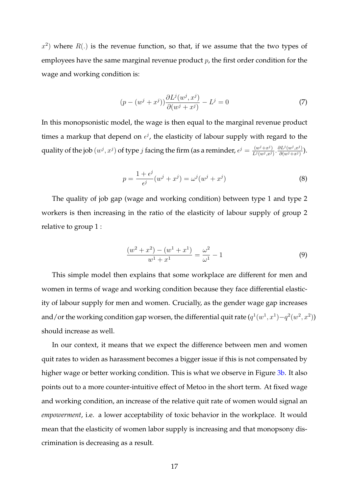$(x^2)$  where  $R(.)$  is the revenue function, so that, if we assume that the two types of employees have the same marginal revenue product  $p$ , the first order condition for the wage and working condition is:

$$
(p - (w^{j} + x^{j})) \frac{\partial L^{j}(w^{j}, x^{j})}{\partial (w^{j} + x^{j})} - L^{j} = 0
$$
\n(7)

In this monopsonistic model, the wage is then equal to the marginal revenue product times a markup that depend on  $\epsilon^j$ , the elasticity of labour supply with regard to the quality of the job  $(w^j, x^j)$  of type *j* facing the firm (as a reminder,  $\epsilon^j = \frac{(w^j + x^j)}{L^j (w^j, x^j)}$  $\frac{(w^j+x^j)}{L^j(w^j,x^j)}$ .  $\frac{\partial L^j(w^j,x^j)}{\partial (w^j+x^j)}$  $\frac{\partial L^{s}(w^{j},x^{j})}{\partial (w^{j}+x^{j})}.$ 

$$
p = \frac{1 + \epsilon^{j}}{\epsilon^{j}} (w^{j} + x^{j}) = \omega^{j} (w^{j} + x^{j})
$$
\n(8)

The quality of job gap (wage and working condition) between type 1 and type 2 workers is then increasing in the ratio of the elasticity of labour supply of group 2 relative to group 1 :

$$
\frac{(w^2 + x^2) - (w^1 + x^1)}{w^1 + x^1} = \frac{\omega^2}{\omega^1} - 1
$$
\n(9)

This simple model then explains that some workplace are different for men and women in terms of wage and working condition because they face differential elasticity of labour supply for men and women. Crucially, as the gender wage gap increases and/or the working condition gap worsen, the differential quit rate  $(q^1(w^1, x^1) - q^2(w^2, x^2))$ should increase as well.

In our context, it means that we expect the difference between men and women quit rates to widen as harassment becomes a bigger issue if this is not compensated by higher wage or better working condition. This is what we observe in Figure [3b.](#page-13-0) It also points out to a more counter-intuitive effect of Metoo in the short term. At fixed wage and working condition, an increase of the relative quit rate of women would signal an *empowerment*, i.e. a lower acceptability of toxic behavior in the workplace. It would mean that the elasticity of women labor supply is increasing and that monopsony discrimination is decreasing as a result.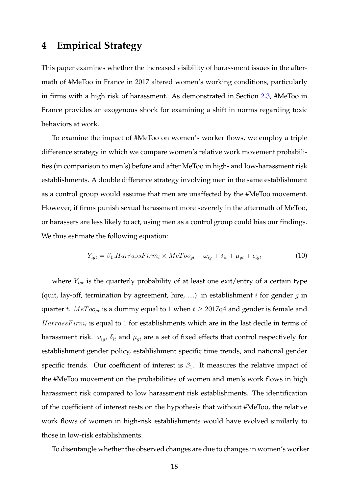### <span id="page-18-0"></span>**4 Empirical Strategy**

This paper examines whether the increased visibility of harassment issues in the aftermath of #MeToo in France in 2017 altered women's working conditions, particularly in firms with a high risk of harassment. As demonstrated in Section [2.3,](#page-13-1) #MeToo in France provides an exogenous shock for examining a shift in norms regarding toxic behaviors at work.

To examine the impact of #MeToo on women's worker flows, we employ a triple difference strategy in which we compare women's relative work movement probabilities (in comparison to men's) before and after MeToo in high- and low-harassment risk establishments. A double difference strategy involving men in the same establishment as a control group would assume that men are unaffected by the #MeToo movement. However, if firms punish sexual harassment more severely in the aftermath of MeToo, or harassers are less likely to act, using men as a control group could bias our findings. We thus estimate the following equation:

<span id="page-18-1"></span>
$$
Y_{igt} = \beta_1. HarrassFirm_i \times MeToo_{gt} + \omega_{ig} + \delta_{it} + \mu_{gt} + \epsilon_{igt}
$$
\n(10)

where  $Y_{igt}$  is the quarterly probability of at least one exit/entry of a certain type (quit, lay-off, termination by agreement, hire, ....) in establishment  $i$  for gender  $g$  in quarter t.  $MeToo_{gt}$  is a dummy equal to 1 when  $t \geq 2017q4$  and gender is female and  $HarrassFirm_i$  is equal to 1 for establishments which are in the last decile in terms of harassment risk.  $\omega_{iq}$ ,  $\delta_{it}$  and  $\mu_{qt}$  are a set of fixed effects that control respectively for establishment gender policy, establishment specific time trends, and national gender specific trends. Our coefficient of interest is  $\beta_1$ . It measures the relative impact of the #MeToo movement on the probabilities of women and men's work flows in high harassment risk compared to low harassment risk establishments. The identification of the coefficient of interest rests on the hypothesis that without #MeToo, the relative work flows of women in high-risk establishments would have evolved similarly to those in low-risk establishments.

To disentangle whether the observed changes are due to changes in women's worker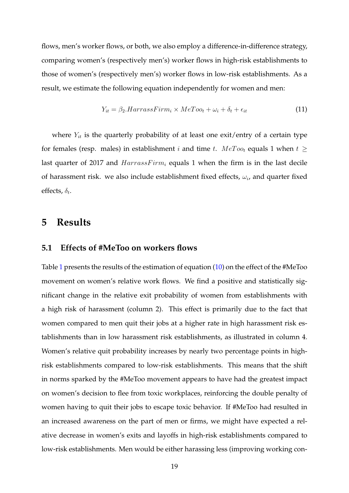flows, men's worker flows, or both, we also employ a difference-in-difference strategy, comparing women's (respectively men's) worker flows in high-risk establishments to those of women's (respectively men's) worker flows in low-risk establishments. As a result, we estimate the following equation independently for women and men:

<span id="page-19-1"></span>
$$
Y_{it} = \beta_2. HarrassFirm_i \times MeToo_t + \omega_i + \delta_t + \epsilon_{it} \tag{11}
$$

where  $Y_{it}$  is the quarterly probability of at least one exit/entry of a certain type for females (resp. males) in establishment *i* and time *t*.  $MeToo_t$  equals 1 when  $t \ge$ last quarter of 2017 and  $HarrassFirm_i$  equals 1 when the firm is in the last decile of harassment risk. we also include establishment fixed effects,  $\omega_i$ , and quarter fixed effects,  $\delta_t$ .

#### <span id="page-19-0"></span>**5 Results**

#### **5.1 Effects of #MeToo on workers flows**

Table [1](#page-20-0) presents the results of the estimation of equation [\(10\)](#page-18-1) on the effect of the #MeToo movement on women's relative work flows. We find a positive and statistically significant change in the relative exit probability of women from establishments with a high risk of harassment (column 2). This effect is primarily due to the fact that women compared to men quit their jobs at a higher rate in high harassment risk establishments than in low harassment risk establishments, as illustrated in column 4. Women's relative quit probability increases by nearly two percentage points in highrisk establishments compared to low-risk establishments. This means that the shift in norms sparked by the #MeToo movement appears to have had the greatest impact on women's decision to flee from toxic workplaces, reinforcing the double penalty of women having to quit their jobs to escape toxic behavior. If #MeToo had resulted in an increased awareness on the part of men or firms, we might have expected a relative decrease in women's exits and layoffs in high-risk establishments compared to low-risk establishments. Men would be either harassing less (improving working con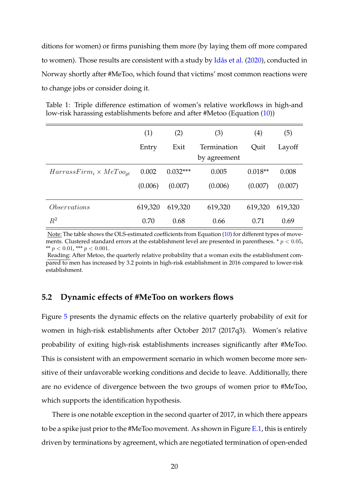ditions for women) or firms punishing them more (by laying them off more compared to women). Those results are consistent with a study by [Idås et al.](#page-29-10) [\(2020\)](#page-29-10), conducted in Norway shortly after #MeToo, which found that victims' most common reactions were to change jobs or consider doing it.

<span id="page-20-0"></span>Table 1: Triple difference estimation of women's relative workflows in high-and low-risk harassing establishments before and after #Metoo (Equation [\(10\)](#page-18-1))

|                                   | (1)     | (2)        | (3)                         | $\left( 4\right)$ | (5)     |
|-----------------------------------|---------|------------|-----------------------------|-------------------|---------|
|                                   | Entry   | Exit       | Termination<br>by agreement | Quit              | Layoff  |
|                                   |         |            |                             |                   |         |
| $HarrassFirm_i \times MeToo_{at}$ | 0.002   | $0.032***$ | 0.005                       | $0.018**$         | 0.008   |
|                                   | (0.006) | (0.007)    | (0.006)                     | (0.007)           | (0.007) |
|                                   |         |            |                             |                   |         |
| <i>Observations</i>               | 619,320 | 619,320    | 619,320                     | 619,320           | 619,320 |
| $R^2$                             | 0.70    | 0.68       | 0.66                        | 0.71              | 0.69    |

Note: The table shows the OLS-estimated coefficients from Equation [\(10\)](#page-18-1) for different types of movements. Clustered standard errors at the establishment level are presented in parentheses.  $p < 0.05$ , \*\*  $p < 0.01$ , \*\*\*  $p < 0.001$ .

Reading: After Metoo, the quarterly relative probability that a woman exits the establishment compared to men has increased by 3.2 points in high-risk establishment in 2016 compared to lower-risk establishment.

#### **5.2 Dynamic effects of #MeToo on workers flows**

Figure [5](#page-21-0) presents the dynamic effects on the relative quarterly probability of exit for women in high-risk establishments after October 2017 (2017q3). Women's relative probability of exiting high-risk establishments increases significantly after #MeToo. This is consistent with an empowerment scenario in which women become more sensitive of their unfavorable working conditions and decide to leave. Additionally, there are no evidence of divergence between the two groups of women prior to #MeToo, which supports the identification hypothesis.

There is one notable exception in the second quarter of 2017, in which there appears to be a spike just prior to the #MeToo movement. As shown in Figure  $E.1$ , this is entirely driven by terminations by agreement, which are negotiated termination of open-ended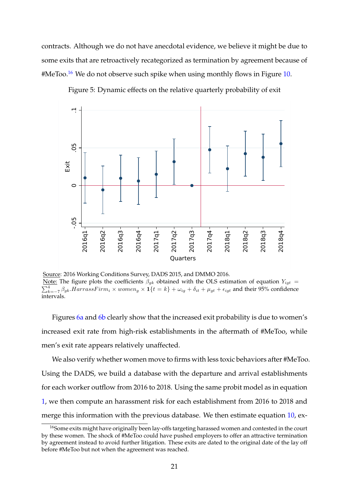contracts. Although we do not have anecdotal evidence, we believe it might be due to some exits that are retroactively recategorized as termination by agreement because of  $HMeToo.<sup>16</sup>$  $HMeToo.<sup>16</sup>$  $HMeToo.<sup>16</sup>$  We do not observe such spike when using monthly flows in Figure [10.](#page-26-1)

<span id="page-21-0"></span>![](_page_21_Figure_1.jpeg)

![](_page_21_Figure_2.jpeg)

Source: 2016 Working Conditions Survey, DADS 2015, and DMMO 2016. Note: The figure plots the coefficients  $\beta_{gk}$  obtained with the OLS estimation of equation  $Y_{igt}$  =  $\sum_{k=-7}^{4} \beta_{gk}$ . HarrassFirm<sub>i</sub> × women<sub>g</sub> × 1 $\{t = k\}$  +  $\omega_{ig}$  +  $\delta_{it}$  +  $\mu_{gt}$  +  $\epsilon_{igt}$  and their 95% confidence intervals.

Figures [6a](#page-22-0) and [6b](#page-22-0) clearly show that the increased exit probability is due to women's increased exit rate from high-risk establishments in the aftermath of #MeToo, while men's exit rate appears relatively unaffected.

We also verify whether women move to firms with less toxic behaviors after #MeToo. Using the DADS, we build a database with the departure and arrival establishments for each worker outflow from 2016 to 2018. Using the same probit model as in equation [1,](#page-11-1) we then compute an harassment risk for each establishment from 2016 to 2018 and merge this information with the previous database. We then estimate equation [10,](#page-18-1) ex-

<span id="page-21-1"></span><sup>&</sup>lt;sup>16</sup>Some exits might have originally been lay-offs targeting harassed women and contested in the court by these women. The shock of #MeToo could have pushed employers to offer an attractive termination by agreement instead to avoid further litigation. These exits are dated to the original date of the lay off before #MeToo but not when the agreement was reached.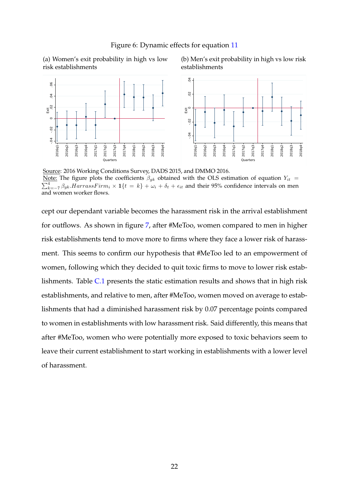<span id="page-22-0"></span>(a) Women's exit probability in high vs low risk establishments

(b) Men's exit probability in high vs low risk establishments

![](_page_22_Figure_3.jpeg)

Source: 2016 Working Conditions Survey, DADS 2015, and DMMO 2016. Note: The figure plots the coefficients  $\beta_{gk}$  obtained with the OLS estimation of equation  $Y_{it}$  =  $\sum_{k=-7}^{4} \beta_{gk}$ . HarrassFirm<sub>i</sub> × 1{t = k} +  $\omega_i$  +  $\delta_t$  +  $\epsilon_{it}$  and their 95% confidence intervals on men and women worker flows.

cept our dependant variable becomes the harassment risk in the arrival establishment for outflows. As shown in figure [7,](#page-23-0) after #MeToo, women compared to men in higher risk establishments tend to move more to firms where they face a lower risk of harassment. This seems to confirm our hypothesis that #MeToo led to an empowerment of women, following which they decided to quit toxic firms to move to lower risk establishments. Table [C.1](#page-36-0) presents the static estimation results and shows that in high risk establishments, and relative to men, after #MeToo, women moved on average to establishments that had a diminished harassment risk by 0.07 percentage points compared to women in establishments with low harassment risk. Said differently, this means that after #MeToo, women who were potentially more exposed to toxic behaviors seem to leave their current establishment to start working in establishments with a lower level of harassment.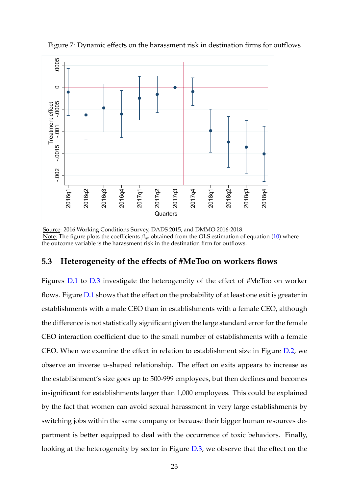![](_page_23_Figure_0.jpeg)

<span id="page-23-0"></span>Figure 7: Dynamic effects on the harassment risk in destination firms for outflows

Source: 2016 Working Conditions Survey, DADS 2015, and DMMO 2016-2018. Note: The figure plots the coefficients  $\beta_{gt}$  obtained from the OLS estimation of equation [\(10\)](#page-18-1) where the outcome variable is the harassment risk in the destination firm for outflows.

#### **5.3 Heterogeneity of the effects of #MeToo on workers flows**

Figures [D.1](#page-36-1) to [D.3](#page-37-0) investigate the heterogeneity of the effect of #MeToo on worker flows. Figure [D.1](#page-36-1) shows that the effect on the probability of at least one exit is greater in establishments with a male CEO than in establishments with a female CEO, although the difference is not statistically significant given the large standard error for the female CEO interaction coefficient due to the small number of establishments with a female CEO. When we examine the effect in relation to establishment size in Figure [D.2,](#page-37-1) we observe an inverse u-shaped relationship. The effect on exits appears to increase as the establishment's size goes up to 500-999 employees, but then declines and becomes insignificant for establishments larger than 1,000 employees. This could be explained by the fact that women can avoid sexual harassment in very large establishments by switching jobs within the same company or because their bigger human resources department is better equipped to deal with the occurrence of toxic behaviors. Finally, looking at the heterogeneity by sector in Figure [D.3,](#page-37-0) we observe that the effect on the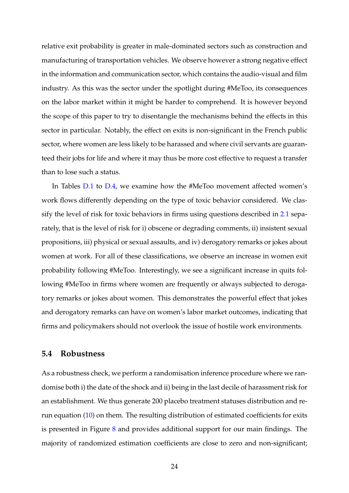relative exit probability is greater in male-dominated sectors such as construction and manufacturing of transportation vehicles. We observe however a strong negative effect in the information and communication sector, which contains the audio-visual and film industry. As this was the sector under the spotlight during #MeToo, its consequences on the labor market within it might be harder to comprehend. It is however beyond the scope of this paper to try to disentangle the mechanisms behind the effects in this sector in particular. Notably, the effect on exits is non-significant in the French public sector, where women are less likely to be harassed and where civil servants are guaranteed their jobs for life and where it may thus be more cost effective to request a transfer than to lose such a status.

In Tables [D.1](#page-38-0) to [D.4,](#page-39-0) we examine how the #MeToo movement affected women's work flows differently depending on the type of toxic behavior considered. We classify the level of risk for toxic behaviors in firms using questions described in [2.1](#page-6-3) separately, that is the level of risk for i) obscene or degrading comments, ii) insistent sexual propositions, iii) physical or sexual assaults, and iv) derogatory remarks or jokes about women at work. For all of these classifications, we observe an increase in women exit probability following #MeToo. Interestingly, we see a significant increase in quits following #MeToo in firms where women are frequently or always subjected to derogatory remarks or jokes about women. This demonstrates the powerful effect that jokes and derogatory remarks can have on women's labor market outcomes, indicating that firms and policymakers should not overlook the issue of hostile work environments.

#### **5.4 Robustness**

As a robustness check, we perform a randomisation inference procedure where we randomise both i) the date of the shock and ii) being in the last decile of harassment risk for an establishment. We thus generate 200 placebo treatment statuses distribution and rerun equation [\(10\)](#page-18-1) on them. The resulting distribution of estimated coefficients for exits is presented in Figure  $8$  and provides additional support for our main findings. The majority of randomized estimation coefficients are close to zero and non-significant;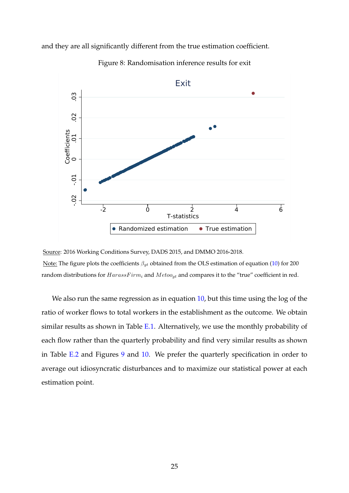<span id="page-25-0"></span>and they are all significantly different from the true estimation coefficient.

![](_page_25_Figure_1.jpeg)

Figure 8: Randomisation inference results for exit

We also run the same regression as in equation [10,](#page-18-1) but this time using the log of the ratio of worker flows to total workers in the establishment as the outcome. We obtain similar results as shown in Table [E.1.](#page-40-0) Alternatively, we use the monthly probability of each flow rather than the quarterly probability and find very similar results as shown in Table [E.2](#page-40-1) and Figures [9](#page-26-2) and [10.](#page-26-1) We prefer the quarterly specification in order to average out idiosyncratic disturbances and to maximize our statistical power at each estimation point.

Source: 2016 Working Conditions Survey, DADS 2015, and DMMO 2016-2018. Note: The figure plots the coefficients  $\beta_{gt}$  obtained from the OLS estimation of equation [\(10\)](#page-18-1) for 200 random distributions for  $HarasFirm_i$  and  $Metoo_{gt}$  and compares it to the "true" coefficient in red.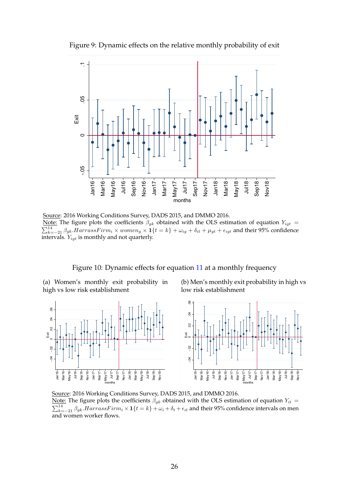Figure 9: Dynamic effects on the relative monthly probability of exit

<span id="page-26-2"></span>![](_page_26_Figure_1.jpeg)

Source: 2016 Working Conditions Survey, DADS 2015, and DMMO 2016. Note: The figure plots the coefficients  $\beta_{gk}$  obtained with the OLS estimation of equation  $Y_{igt}$  =  $\sum_{k=-21}^{14} \beta_{gk}$ . *HarrassFirm*<sub>i</sub> × women<sub>g</sub> ×  $\mathbf{1}{t = k} + \omega_{ig} + \delta_{it} + \mu_{gt} + \epsilon_{igt}$  and their 95% confidence intervals.  $Y_{igt}$  is monthly and not quarterly.

#### Figure 10: Dynamic effects for equation [11](#page-19-1) at a monthly frequency

<span id="page-26-1"></span><span id="page-26-0"></span>(a) Women's monthly exit probability in high vs low risk establishment

(b) Men's monthly exit probability in high vs low risk establishment

![](_page_26_Figure_6.jpeg)

Source: 2016 Working Conditions Survey, DADS 2015, and DMMO 2016.

<u>Note:</u> The figure plots the coefficients  $\beta_{gk}$  obtained with the OLS estimation of equation  $Y_{it}$  =  $\sum_{k=-21}^{14} \beta_{gk}$ . HarrassFirm<sub>i</sub> × 1 $\{t=k\}$  +  $\omega_i$  +  $\delta_t$  +  $\epsilon_{it}$  and their 95% confidence intervals on men and women worker flows.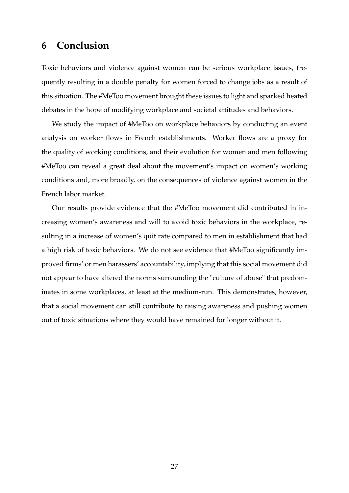## **6 Conclusion**

Toxic behaviors and violence against women can be serious workplace issues, frequently resulting in a double penalty for women forced to change jobs as a result of this situation. The #MeToo movement brought these issues to light and sparked heated debates in the hope of modifying workplace and societal attitudes and behaviors.

We study the impact of #MeToo on workplace behaviors by conducting an event analysis on worker flows in French establishments. Worker flows are a proxy for the quality of working conditions, and their evolution for women and men following #MeToo can reveal a great deal about the movement's impact on women's working conditions and, more broadly, on the consequences of violence against women in the French labor market.

Our results provide evidence that the #MeToo movement did contributed in increasing women's awareness and will to avoid toxic behaviors in the workplace, resulting in a increase of women's quit rate compared to men in establishment that had a high risk of toxic behaviors. We do not see evidence that #MeToo significantly improved firms' or men harassers' accountability, implying that this social movement did not appear to have altered the norms surrounding the "culture of abuse" that predominates in some workplaces, at least at the medium-run. This demonstrates, however, that a social movement can still contribute to raising awareness and pushing women out of toxic situations where they would have remained for longer without it.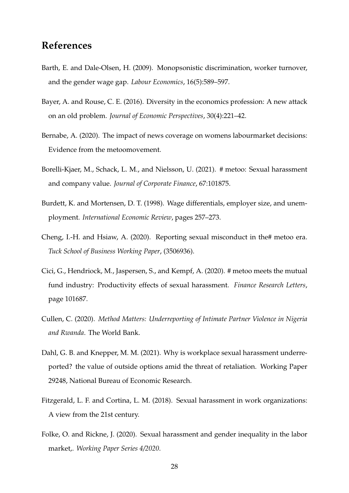## **References**

- <span id="page-28-10"></span>Barth, E. and Dale-Olsen, H. (2009). Monopsonistic discrimination, worker turnover, and the gender wage gap. *Labour Economics*, 16(5):589–597.
- <span id="page-28-0"></span>Bayer, A. and Rouse, C. E. (2016). Diversity in the economics profession: A new attack on an old problem. *Journal of Economic Perspectives*, 30(4):221–42.
- <span id="page-28-5"></span>Bernabe, A. (2020). The impact of news coverage on womens labourmarket decisions: Evidence from the metoomovement.
- <span id="page-28-3"></span>Borelli-Kjaer, M., Schack, L. M., and Nielsson, U. (2021). # metoo: Sexual harassment and company value. *Journal of Corporate Finance*, 67:101875.
- <span id="page-28-9"></span>Burdett, K. and Mortensen, D. T. (1998). Wage differentials, employer size, and unemployment. *International Economic Review*, pages 257–273.
- <span id="page-28-2"></span>Cheng, I.-H. and Hsiaw, A. (2020). Reporting sexual misconduct in the# metoo era. *Tuck School of Business Working Paper*, (3506936).
- <span id="page-28-4"></span>Cici, G., Hendriock, M., Jaspersen, S., and Kempf, A. (2020). # metoo meets the mutual fund industry: Productivity effects of sexual harassment. *Finance Research Letters*, page 101687.
- <span id="page-28-7"></span>Cullen, C. (2020). *Method Matters: Underreporting of Intimate Partner Violence in Nigeria and Rwanda*. The World Bank.
- <span id="page-28-8"></span>Dahl, G. B. and Knepper, M. M. (2021). Why is workplace sexual harassment underreported? the value of outside options amid the threat of retaliation. Working Paper 29248, National Bureau of Economic Research.
- <span id="page-28-6"></span>Fitzgerald, L. F. and Cortina, L. M. (2018). Sexual harassment in work organizations: A view from the 21st century.
- <span id="page-28-1"></span>Folke, O. and Rickne, J. (2020). Sexual harassment and gender inequality in the labor market,. *Working Paper Series 4/2020*.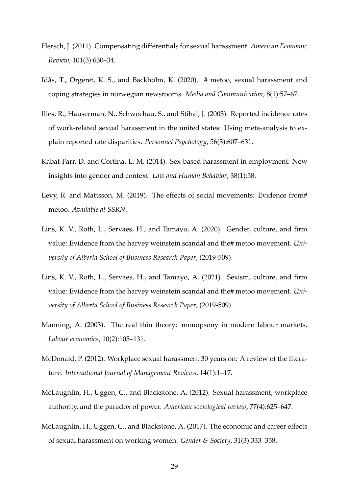- <span id="page-29-2"></span>Hersch, J. (2011). Compensating differentials for sexual harassment. *American Economic Review*, 101(3):630–34.
- <span id="page-29-10"></span>Idås, T., Orgeret, K. S., and Backholm, K. (2020). # metoo, sexual harassment and coping strategies in norwegian newsrooms. *Media and Communication*, 8(1):57–67.
- <span id="page-29-8"></span>Ilies, R., Hauserman, N., Schwochau, S., and Stibal, J. (2003). Reported incidence rates of work-related sexual harassment in the united states: Using meta-analysis to explain reported rate disparities. *Personnel Psychology*, 56(3):607–631.
- <span id="page-29-1"></span>Kabat-Farr, D. and Cortina, L. M. (2014). Sex-based harassment in employment: New insights into gender and context. *Law and Human Behavior*, 38(1):58.
- <span id="page-29-7"></span>Levy, R. and Mattsson, M. (2019). The effects of social movements: Evidence from# metoo. *Available at SSRN*.
- <span id="page-29-5"></span>Lins, K. V., Roth, L., Servaes, H., and Tamayo, A. (2020). Gender, culture, and firm value: Evidence from the harvey weinstein scandal and the# metoo movement. *University of Alberta School of Business Research Paper*, (2019-509).
- <span id="page-29-6"></span>Lins, K. V., Roth, L., Servaes, H., and Tamayo, A. (2021). Sexism, culture, and firm value: Evidence from the harvey weinstein scandal and the# metoo movement. *University of Alberta School of Business Research Paper*, (2019-509).
- <span id="page-29-9"></span>Manning, A. (2003). The real thin theory: monopsony in modern labour markets. *Labour economics*, 10(2):105–131.
- <span id="page-29-3"></span>McDonald, P. (2012). Workplace sexual harassment 30 years on: A review of the literature. *International Journal of Management Reviews*, 14(1):1–17.
- <span id="page-29-0"></span>McLaughlin, H., Uggen, C., and Blackstone, A. (2012). Sexual harassment, workplace authority, and the paradox of power. *American sociological review*, 77(4):625–647.
- <span id="page-29-4"></span>McLaughlin, H., Uggen, C., and Blackstone, A. (2017). The economic and career effects of sexual harassment on working women. *Gender & Society*, 31(3):333–358.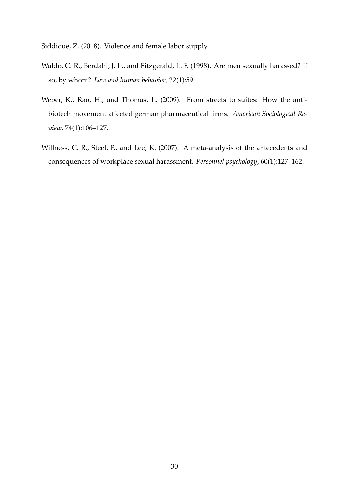<span id="page-30-1"></span>Siddique, Z. (2018). Violence and female labor supply.

- <span id="page-30-3"></span>Waldo, C. R., Berdahl, J. L., and Fitzgerald, L. F. (1998). Are men sexually harassed? if so, by whom? *Law and human behavior*, 22(1):59.
- <span id="page-30-2"></span>Weber, K., Rao, H., and Thomas, L. (2009). From streets to suites: How the antibiotech movement affected german pharmaceutical firms. *American Sociological Review*, 74(1):106–127.
- <span id="page-30-0"></span>Willness, C. R., Steel, P., and Lee, K. (2007). A meta-analysis of the antecedents and consequences of workplace sexual harassment. *Personnel psychology*, 60(1):127–162.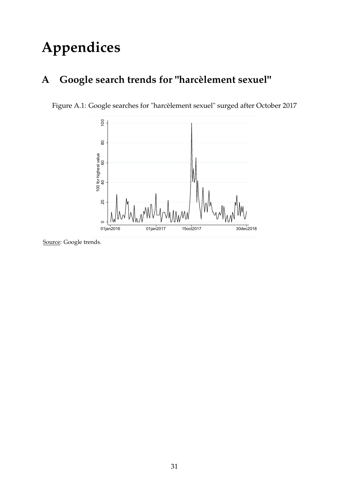# **Appendices**

## **A Google search trends for "harcèlement sexuel"**

<span id="page-31-0"></span>Figure A.1: Google searches for "harcèlement sexuel" surged after October 2017

![](_page_31_Figure_3.jpeg)

Source: Google trends.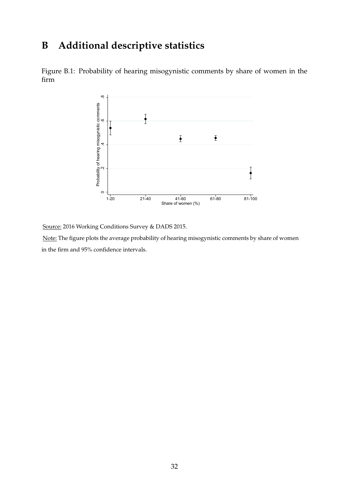## **B Additional descriptive statistics**

Figure B.1: Probability of hearing misogynistic comments by share of women in the firm

![](_page_32_Figure_2.jpeg)

Source: 2016 Working Conditions Survey & DADS 2015.

Note: The figure plots the average probability of hearing misogynistic comments by share of women in the firm and 95% confidence intervals.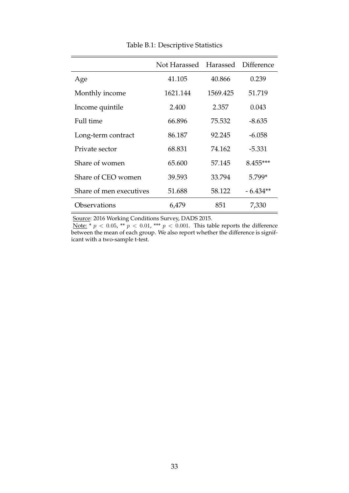<span id="page-33-0"></span>

|                         | Not Harassed Harassed |          | Difference |
|-------------------------|-----------------------|----------|------------|
| Age                     | 41.105                | 40.866   | 0.239      |
| Monthly income          | 1621.144              | 1569.425 | 51.719     |
| Income quintile         | 2.400                 | 2.357    | 0.043      |
| Full time               | 66.896                | 75.532   | $-8.635$   |
| Long-term contract      | 86.187                | 92.245   | $-6.058$   |
| Private sector          | 68.831                | 74.162   | $-5.331$   |
| Share of women          | 65.600                | 57.145   | 8.455***   |
| Share of CEO women      | 39.593                | 33.794   | 5.799*     |
| Share of men executives | 51.688                | 58.122   | $-6.434**$ |
| <b>Observations</b>     | 6,479                 | 851      | 7,330      |

Table B.1: Descriptive Statistics

Source: 2016 Working Conditions Survey, DADS 2015.

<u>Note:</u> \*  $p < 0.05$ , \*\*  $p < 0.01$ , \*\*\*  $p < 0.001$ . This table reports the difference between the mean of each group. We also report whether the difference is significant with a two-sample t-test.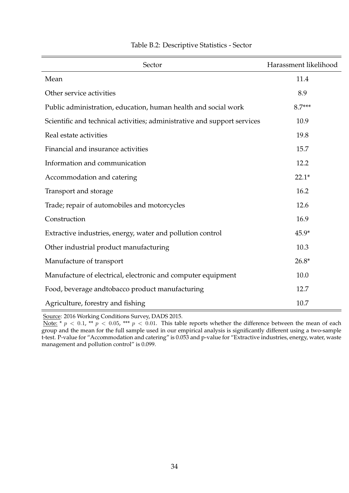<span id="page-34-0"></span>

| Sector                                                                   | Harassment likelihood |
|--------------------------------------------------------------------------|-----------------------|
| Mean                                                                     | 11.4                  |
| Other service activities                                                 | 8.9                   |
| Public administration, education, human health and social work           | $8.7***$              |
| Scientific and technical activities; administrative and support services | 10.9                  |
| Real estate activities                                                   | 19.8                  |
| Financial and insurance activities                                       | 15.7                  |
| Information and communication                                            | 12.2                  |
| Accommodation and catering                                               | $22.1*$               |
| Transport and storage                                                    | 16.2                  |
| Trade; repair of automobiles and motorcycles                             | 12.6                  |
| Construction                                                             | 16.9                  |
| Extractive industries, energy, water and pollution control               | $45.9*$               |
| Other industrial product manufacturing                                   | 10.3                  |
| Manufacture of transport                                                 | $26.8*$               |
| Manufacture of electrical, electronic and computer equipment             | 10.0                  |
| Food, beverage andtobacco product manufacturing                          | 12.7                  |
| Agriculture, forestry and fishing                                        | 10.7                  |

### Table B.2: Descriptive Statistics - Sector

Source: 2016 Working Conditions Survey, DADS 2015.

<u>Note:</u> \*  $p$  < 0.1, \*\*  $p$  < 0.05, \*\*\*  $p$  < 0.01. This table reports whether the difference between the mean of each group and the mean for the full sample used in our empirical analysis is significantly different using a two-sample t-test. P-value for "Accommodation and catering" is 0.053 and p-value for "Extractive industries, energy, water, waste management and pollution control" is 0.099.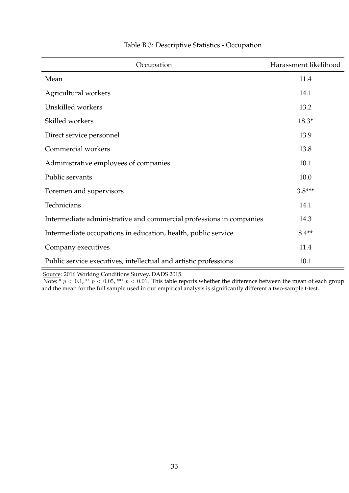| Occupation                                                          | Harassment likelihood |
|---------------------------------------------------------------------|-----------------------|
| Mean                                                                | 11.4                  |
| Agricultural workers                                                | 14.1                  |
| Unskilled workers                                                   | 13.2                  |
| Skilled workers                                                     | $18.3*$               |
| Direct service personnel                                            | 13.9                  |
| Commercial workers                                                  | 13.8                  |
| Administrative employees of companies                               | 10.1                  |
| Public servants                                                     | 10.0                  |
| Foremen and supervisors                                             | $3.8***$              |
| Technicians                                                         | 14.1                  |
| Intermediate administrative and commercial professions in companies | 14.3                  |
| Intermediate occupations in education, health, public service       | $8.4**$               |
| Company executives                                                  | 11.4                  |
| Public service executives, intellectual and artistic professions    | 10.1                  |

#### Table B.3: Descriptive Statistics - Occupation

Source: 2016 Working Conditions Survey, DADS 2015.

<u>Note:</u> \*  $p < 0.1$ , \*\*  $p < 0.05$ , \*\*\*  $p < 0.01$ . This table reports whether the difference between the mean of each group and the mean for the full sample used in our empirical analysis is significantly different a two-sample t-test.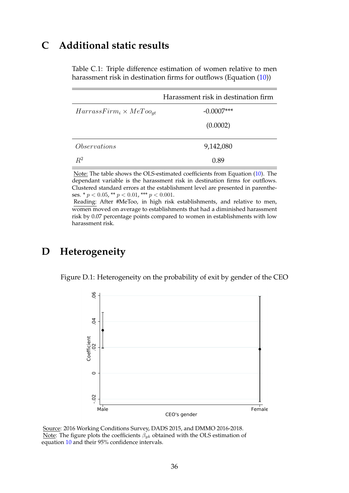## <span id="page-36-0"></span>**C Additional static results**

Table C.1: Triple difference estimation of women relative to men harassment risk in destination firms for outflows (Equation [\(10\)](#page-18-1))

|                                   | Harassment risk in destination firm |
|-----------------------------------|-------------------------------------|
| $HarrassFirm_i \times MeToo_{qt}$ | $-0.0007***$                        |
|                                   | (0.0002)                            |
| <i>Observations</i>               | 9,142,080                           |
| $R^2$                             | 0.89                                |

Note: The table shows the OLS-estimated coefficients from Equation [\(10\)](#page-18-1). The dependant variable is the harassment risk in destination firms for outflows. Clustered standard errors at the establishment level are presented in parentheses. \* $p < 0.05$  \*\* $p < 0.01$  \*\*\* $p < 0.001.$ 

Reading: After #MeToo, in high risk establishments, and relative to men, women moved on average to establishments that had a diminished harassment risk by 0.07 percentage points compared to women in establishments with low harassment risk.

## <span id="page-36-1"></span>**D Heterogeneity**

Figure D.1: Heterogeneity on the probability of exit by gender of the CEO

![](_page_36_Figure_7.jpeg)

Source: 2016 Working Conditions Survey, DADS 2015, and DMMO 2016-2018. Note: The figure plots the coefficients  $\beta_{gk}$  obtained with the OLS estimation of equation [10](#page-18-1) and their 95% confidence intervals.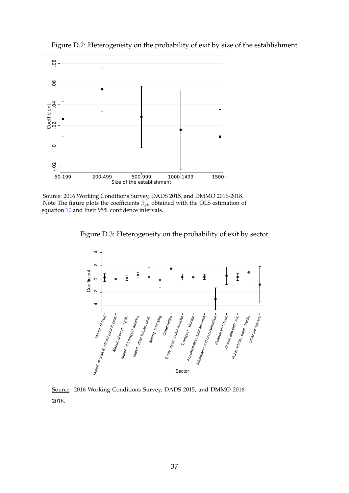<span id="page-37-1"></span>Figure D.2: Heterogeneity on the probability of exit by size of the establishment

![](_page_37_Figure_1.jpeg)

<span id="page-37-0"></span>Source: 2016 Working Conditions Survey, DADS 2015, and DMMO 2016-2018. Note The figure plots the coefficients  $\beta_{qk}$  obtained with the OLS estimation of equation [10](#page-18-1) and their 95% confidence intervals.

Figure D.3: Heterogeneity on the probability of exit by sector

![](_page_37_Figure_4.jpeg)

Source: 2016 Working Conditions Survey, DADS 2015, and DMMO 2016- 2018.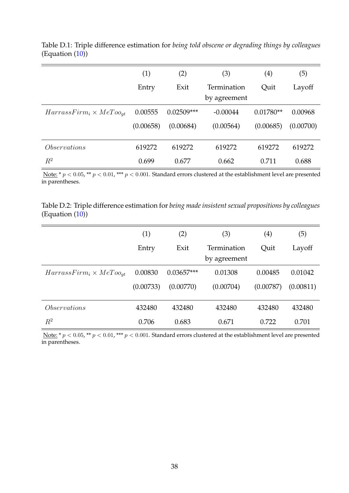|                                   | (1)       | (2)          | (3)                         | $\left( 4\right)$ | (5)       |
|-----------------------------------|-----------|--------------|-----------------------------|-------------------|-----------|
|                                   | Entry     | Exit         | Termination<br>by agreement | Quit              | Layoff    |
| $HarrassFirm_i \times MeToo_{at}$ | 0.00555   | $0.02509***$ | $-0.00044$                  | $0.01780**$       | 0.00968   |
|                                   | (0.00658) | (0.00684)    | (0.00564)                   | (0.00685)         | (0.00700) |
| <i>Observations</i>               | 619272    | 619272       | 619272                      | 619272            | 619272    |
| $R^2$                             | 0.699     | 0.677        | 0.662                       | 0.711             | 0.688     |

<span id="page-38-0"></span>Table D.1: Triple difference estimation for *being told obscene or degrading things by colleagues* (Equation [\(10\)](#page-18-1))

Note: \*  $p < 0.05$ , \*\*  $p < 0.01$ , \*\*\*  $p < 0.001$ . Standard errors clustered at the establishment level are presented in parentheses.

Table D.2: Triple difference estimation for *being made insistent sexual propositions by colleagues* (Equation  $(10)$ )

|                                   | (1)       | (2)          | (3)          | $\left( 4\right)$ | (5)       |
|-----------------------------------|-----------|--------------|--------------|-------------------|-----------|
|                                   | Entry     | Exit         | Termination  | Ouit              | Layoff    |
|                                   |           |              | by agreement |                   |           |
| $HarrassFirm_i \times MeToo_{qt}$ | 0.00830   | $0.03657***$ | 0.01308      | 0.00485           | 0.01042   |
|                                   | (0.00733) | (0.00770)    | (0.00704)    | (0.00787)         | (0.00811) |
| <i>Observations</i>               | 432480    | 432480       | 432480       | 432480            | 432480    |
| $R^2$                             | 0.706     | 0.683        | 0.671        | 0.722             | 0.701     |

Note: \*  $p < 0.05$ , \*\*  $p < 0.01$ , \*\*\*  $p < 0.001$ . Standard errors clustered at the establishment level are presented in parentheses.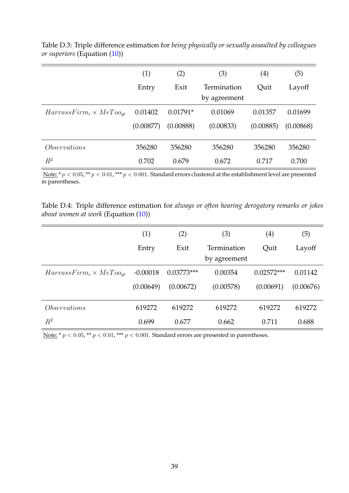|                                   | (1)       | (2)        | (3)          | $\left( 4\right)$ | (5)       |
|-----------------------------------|-----------|------------|--------------|-------------------|-----------|
|                                   | Entry     | Exit       | Termination  | Quit              | Layoff    |
|                                   |           |            | by agreement |                   |           |
| $HarrassFirm_i \times MeToo_{at}$ | 0.01402   | $0.01791*$ | 0.01069      | 0.01357           | 0.01699   |
|                                   | (0.00877) | (0.00888)  | (0.00833)    | (0.00885)         | (0.00868) |
| <i>Observations</i>               | 356280    | 356280     | 356280       | 356280            | 356280    |
| $\mathbb{R}^2$                    | 0.702     | 0.679      | 0.672        | 0.717             | 0.700     |

Table D.3: Triple difference estimation for *being physically or sexually assaulted by colleagues or superiors* (Equation [\(10\)](#page-18-1))

Note: \*  $p < 0.05$ , \*\*  $p < 0.01$ , \*\*\*  $p < 0.001$ . Standard errors clustered at the establishment level are presented in parentheses.

<span id="page-39-0"></span>Table D.4: Triple difference estimation for *always or often hearing derogatory remarks or jokes about women at work* (Equation [\(10\)](#page-18-1))

|                                   | (1)        | (2)          | (3)                         | $\left( 4\right)$ | (5)       |
|-----------------------------------|------------|--------------|-----------------------------|-------------------|-----------|
|                                   | Entry      | Exit         | Termination<br>by agreement | Quit              | Layoff    |
| $HarrassFirm_i \times MeToo_{at}$ | $-0.00018$ | $0.03773***$ | 0.00354                     | $0.02572***$      | 0.01142   |
|                                   | (0.00649)  | (0.00672)    | (0.00578)                   | (0.00691)         | (0.00676) |
| <i>Observations</i>               | 619272     | 619272       | 619272                      | 619272            | 619272    |
| $R^2$                             | 0.699      | 0.677        | 0.662                       | 0.711             | 0.688     |

Note: \* $p < 0.05$  , \*\*  $p < 0.01$  , \*\*\*  $p < 0.001$  . Standard errors are presented in parentheses.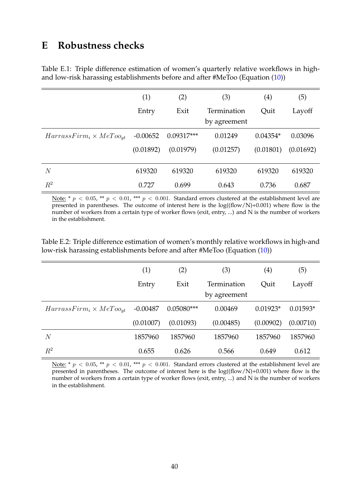## **E Robustness checks**

<span id="page-40-0"></span>Table E.1: Triple difference estimation of women's quarterly relative workflows in highand low-risk harassing establishments before and after #MeToo (Equation [\(10\)](#page-18-1))

|                                   | (1)        | (2)          | (3)                         | (4)        | (5)       |
|-----------------------------------|------------|--------------|-----------------------------|------------|-----------|
|                                   | Entry      | Exit         | Termination<br>by agreement | Ouit       | Layoff    |
| $HarrassFirm_i \times MeToo_{at}$ | $-0.00652$ | $0.09317***$ | 0.01249                     | $0.04354*$ | 0.03096   |
|                                   | (0.01892)  | (0.01979)    | (0.01257)                   | (0.01801)  | (0.01692) |
| $\overline{N}$                    | 619320     | 619320       | 619320                      | 619320     | 619320    |
| $R^2$                             | 0.727      | 0.699        | 0.643                       | 0.736      | 0.687     |

Note: \* p < 0.05, \*\* p < 0.01, \*\*\* p < 0.001. Standard errors clustered at the establishment level are presented in parentheses. The outcome of interest here is the  $log((flow/N)+0.001)$  where flow is the number of workers from a certain type of worker flows (exit, entry, ...) and N is the number of workers in the establishment.

<span id="page-40-1"></span>Table E.2: Triple difference estimation of women's monthly relative workflows in high-and low-risk harassing establishments before and after #MeToo (Equation [\(10\)](#page-18-1))

|                                   | (1)        | (2)          | (3)          | $\left( 4\right)$ | (5)        |
|-----------------------------------|------------|--------------|--------------|-------------------|------------|
|                                   | Entry      | Exit         | Termination  | Quit              | Layoff     |
|                                   |            |              | by agreement |                   |            |
| $HarrassFirm_i \times MeToo_{at}$ | $-0.00487$ | $0.05080***$ | 0.00469      | $0.01923*$        | $0.01593*$ |
|                                   | (0.01007)  | (0.01093)    | (0.00485)    | (0.00902)         | (0.00710)  |
| $\,N$                             | 1857960    | 1857960      | 1857960      | 1857960           | 1857960    |
| $\,R^2$                           | 0.655      | 0.626        | 0.566        | 0.649             | 0.612      |

Note: \*  $p < 0.05$ , \*\*  $p < 0.01$ , \*\*\*  $p < 0.001$ . Standard errors clustered at the establishment level are presented in parentheses. The outcome of interest here is the  $log((flow/N)+0.001)$  where flow is the number of workers from a certain type of worker flows (exit, entry, ...) and N is the number of workers in the establishment.